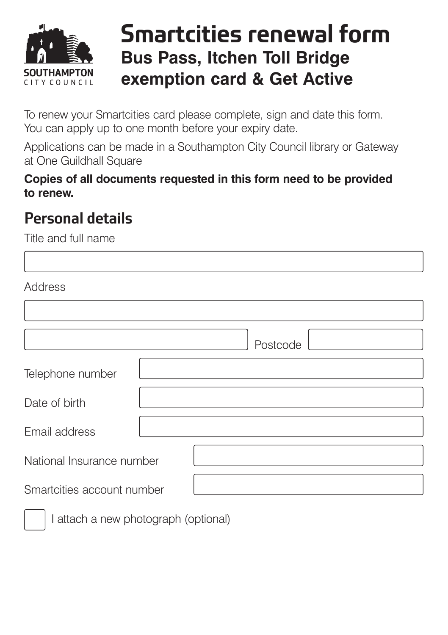

## **Smartcities renewal form Bus Pass, Itchen Toll Bridge exemption card & Get Active**

To renew your Smartcities card please complete, sign and date this form. You can apply up to one month before your expiry date.

Applications can be made in a Southampton City Council library or Gateway at One Guildhall Square

**Copies of all documents requested in this form need to be provided to renew.** 

### **Personal details**

Title and full name Address

|                            | Postcode |
|----------------------------|----------|
| Telephone number           |          |
| Date of birth              |          |
| Email address              |          |
| National Insurance number  |          |
| Smartcities account number |          |
|                            |          |

I attach a new photograph (optional)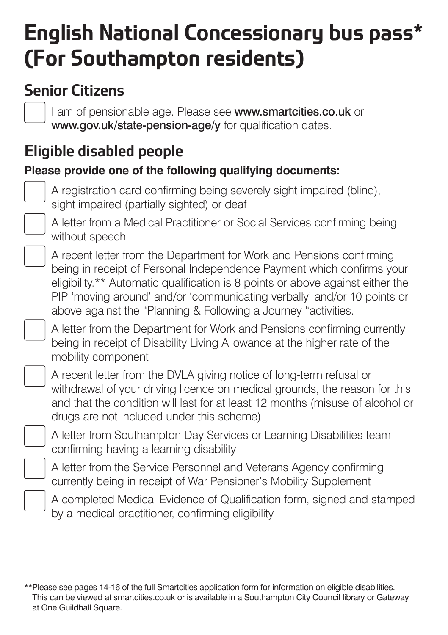# **English National Concessionary bus pass\* (For Southampton residents)**

### **Senior Citizens**

I am of pensionable age. Please see [www.smartcities.co.uk](http://www.smartcities.co.uk) or [www.gov.uk/state-pension-age/y](http://www.gov.uk/state-pension-age/y) for qualification dates.

### **Eligible disabled people**

#### **Please provide one of the following qualifying documents:**



A registration card confirming being severely sight impaired (blind), sight impaired (partially sighted) or deaf



 $\overline{\phantom{a}}$ 

A letter from a Medical Practitioner or Social Services confirming being without speech

A recent letter from the Department for Work and Pensions confirming being in receipt of Personal Independence Payment which confirms your eligibility.\*\* Automatic qualification is 8 points or above against either the PIP 'moving around' and/or 'communicating verbally' and/or 10 points or above against the "Planning & Following a Journey "activities.



A letter from the Department for Work and Pensions confirming currently being in receipt of Disability Living Allowance at the higher rate of the mobility component



 $\overline{\phantom{a}}$ 

A recent letter from the DVLA giving notice of long-term refusal or withdrawal of your driving licence on medical grounds, the reason for this and that the condition will last for at least 12 months (misuse of alcohol or drugs are not included under this scheme)



 $\overline{\phantom{a}}$ 

A letter from Southampton Day Services or Learning Disabilities team confirming having a learning disability

A letter from the Service Personnel and Veterans Agency confirming currently being in receipt of War Pensioner's Mobility Supplement



A completed Medical Evidence of Qualification form, signed and stamped by a medical practitioner, confirming eligibility

<sup>\*\*</sup>Please see pages 14-16 of the full Smartcities application form for information on eligible disabilities. This can be viewed at [smartcities.co.uk](https://smartcities.co.uk) or is available in a Southampton City Council library or Gateway at One Guildhall Square.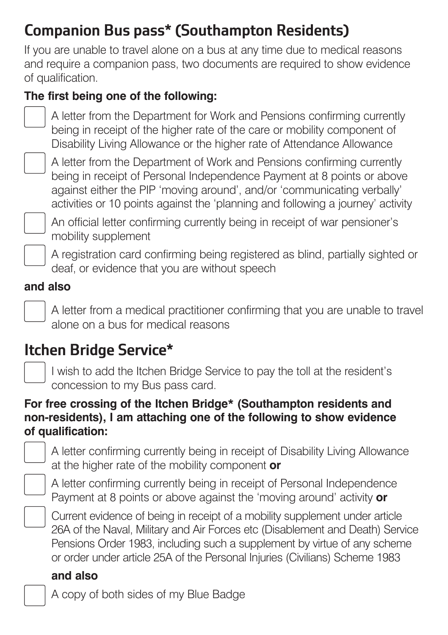### **Companion Bus pass\* (Southampton Residents)**

If you are unable to travel alone on a bus at any time due to medical reasons and require a companion pass, two documents are required to show evidence of qualification.

#### **The first being one of the following:**



A letter from the Department for Work and Pensions confirming currently being in receipt of the higher rate of the care or mobility component of Disability Living Allowance or the higher rate of Attendance Allowance



A letter from the Department of Work and Pensions confirming currently being in receipt of Personal Independence Payment at 8 points or above against either the PIP 'moving around', and/or 'communicating verbally' activities or 10 points against the 'planning and following a journey' activity



An official letter confirming currently being in receipt of war pensioner's mobility supplement

A registration card confirming being registered as blind, partially sighted or deaf, or evidence that you are without speech

#### **and also**

 $\overline{\phantom{a}}$ 

 $\overline{\phantom{a}}$ 

 $\overline{\phantom{a}}$ 

A letter from a medical practitioner confirming that you are unable to travel alone on a bus for medical reasons

### **Itchen Bridge Service\***

I wish to add the Itchen Bridge Service to pay the toll at the resident's concession to my Bus pass card.

#### **For free crossing of the Itchen Bridge\* (Southampton residents and non-residents), I am attaching one of the following to show evidence of qualification:**

A letter confirming currently being in receipt of Disability Living Allowance at the higher rate of the mobility component **or** 



A letter confirming currently being in receipt of Personal Independence Payment at 8 points or above against the 'moving around' activity **or** 



Current evidence of being in receipt of a mobility supplement under article 26A of the Naval, Military and Air Forces etc (Disablement and Death) Service Pensions Order 1983, including such a supplement by virtue of any scheme or order under article 25A of the Personal Injuries (Civilians) Scheme 1983

#### **and also**

A copy of both sides of my Blue Badge



 $\overline{\phantom{a}}$